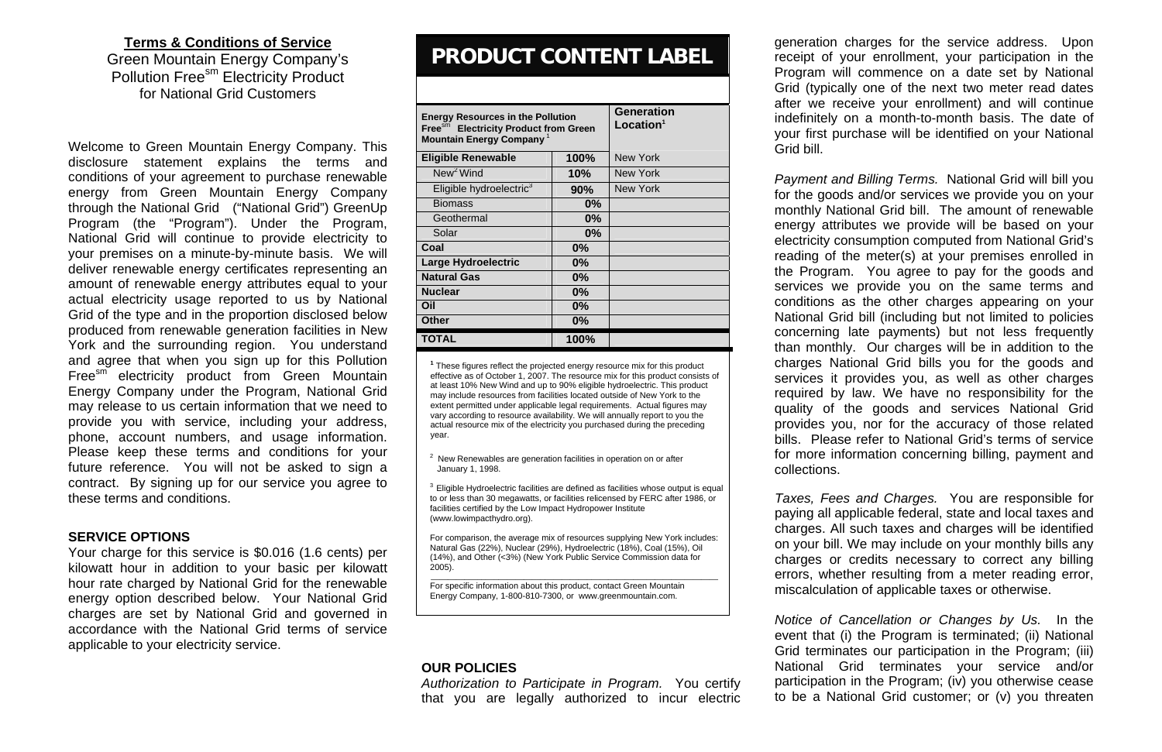# **Terms & Conditions of Service**

Green Mountain Energy Company's Pollution Free<sup>sm</sup> Electricity Product for National Grid Customers

Welcome to Green Mountain Energy Company. This disclosure statement explains the terms and conditions of your agreement to purchase renewable energy from Green Mountain Energy Company through the National Grid ("National Grid") GreenUp Program (the "Program"). Under the Program, National Grid will continue to provide electricity to your premises on a minute-by-minute basis. We will deliver renewable energy certificates representing an amount of renewable energy attributes equal to your actual electricity usage reported to us by National Grid of the type and in the proportion disclosed below produced from renewable generation facilities in New York and the surrounding region. You understand and agree that when you sign up for this Pollution Free<sup>sm</sup> electricity product from Green Mountain Energy Company under the Program, National Grid may release to us certain information that we need to provide you with service, including your address, phone, account numbers, and usage information. Please keep these terms and conditions for your future reference. You will not be asked to sign a contract. By signing up for our service you agree to these terms and conditions.

### **SERVICE OPTIONS**

 $2$  New Renewables are generation facilities in operation on or after January 1, 1998.

 $3$  Eligible Hydroelectric facilities are defined as facilities whose output is equal to or less than 30 megawatts, or facilities relicensed by FERC after 1986, or facilities certified by the Low Impact Hydropower Institute (www.lowimpacthydro.org).

Your charge for this service is \$0.016 (1.6 cents) per kilowatt hour in addition to your basic per kilowatt hour rate charged by National Grid for the renewable energy option described below. Your National Grid charges are set by National Grid and governed in accordance with the National Grid terms of service applicable to your electricity service.

# **PRODUCT CONTENT LABEL**

| <b>Energy Resources in the Pollution</b><br>Free <sup>sm</sup> Electricity Product from Green<br>Mountain Energy Company <sup>1</sup> |       | <b>Generation</b><br>Location <sup>1</sup> |
|---------------------------------------------------------------------------------------------------------------------------------------|-------|--------------------------------------------|
| <b>Eligible Renewable</b>                                                                                                             | 100%  | New York                                   |
| New <sup>2</sup> Wind                                                                                                                 | 10%   | New York                                   |
| Eligible hydroelectric <sup>3</sup>                                                                                                   | 90%   | New York                                   |
| <b>Biomass</b>                                                                                                                        | $0\%$ |                                            |
| Geothermal                                                                                                                            | $0\%$ |                                            |
| Solar                                                                                                                                 | $0\%$ |                                            |
| Coal                                                                                                                                  | 0%    |                                            |
| <b>Large Hydroelectric</b>                                                                                                            | $0\%$ |                                            |
| <b>Natural Gas</b>                                                                                                                    | $0\%$ |                                            |
| <b>Nuclear</b>                                                                                                                        | 0%    |                                            |
| Oil                                                                                                                                   | $0\%$ |                                            |
| Other                                                                                                                                 | $0\%$ |                                            |
| TOTAL                                                                                                                                 | 100%  |                                            |

**1** These figures reflect the projected energy resource mix for this product effective as of October 1, 2007. The resource mix for this product consists of at least 10% New Wind and up to 90% eligible hydroelectric. This product may include resources from facilities located outside of New York to the extent permitted under applicable legal requirements. Actual figures may vary according to resource availability. We will annually report to you the actual resource mix of the electricity you purchased during the preceding year.

For comparison, the average mix of resources supplying New York includes: Natural Gas (22%), Nuclear (29%), Hydroelectric (18%), Coal (15%), Oil (14%), and Other (<3%) (New York Public Service Commission data for 2005).

\_\_\_\_\_\_\_\_\_\_\_\_\_\_\_\_\_\_\_\_\_\_\_\_\_\_\_\_\_\_\_\_\_\_\_\_\_\_\_\_\_\_\_\_\_\_\_\_\_\_\_\_\_\_\_\_\_\_\_\_\_\_\_\_\_\_\_\_ For specific information about this product, contact Green Mountain Energy Company, 1-800-810-7300, or www.greenmountain.com.

## **OUR POLICIES**

*Authorization to Participate in Program.* You certify that you are legally authorized to incur electric

generation charges for the service address. Upon receipt of your enrollment, your participation in the Program will commence on a date set by National Grid (typically one of the next two meter read dates after we receive your enrollment) and will continue indefinitely on a month-to-month basis. The date of your first purchase will be identified on your National Grid bill.

*Payment and Billing Terms.* National Grid will bill you for the goods and/or services we provide you on your monthly National Grid bill. The amount of renewable energy attributes we provide will be based on your electricity consumption computed from National Grid's reading of the meter(s) at your premises enrolled in the Program. You agree to pay for the goods and services we provide you on the same terms and conditions as the other charges appearing on your National Grid bill (including but not limited to policies concerning late payments) but not less frequently than monthly. Our charges will be in addition to the charges National Grid bills you for the goods and services it provides you, as well as other charges required by law. We have no responsibility for the quality of the goods and services National Grid provides you, nor for the accuracy of those related bills. Please refer to National Grid's terms of service for more information concerning billing, payment and collections.

*Taxes, Fees and Charges.* You are responsible for paying all applicable federal, state and local taxes and charges. All such taxes and charges will be identified on your bill. We may include on your monthly bills any charges or credits necessary to correct any billing errors, whether resulting from a meter reading error, miscalculation of applicable taxes or otherwise.

*Notice of Cancellation or Changes by Us.* In the event that (i) the Program is terminated; (ii) National Grid terminates our participation in the Program; (iii) National Grid terminates your service and/or participation in the Program; (iv) you otherwise cease to be a National Grid customer; or (v) you threaten